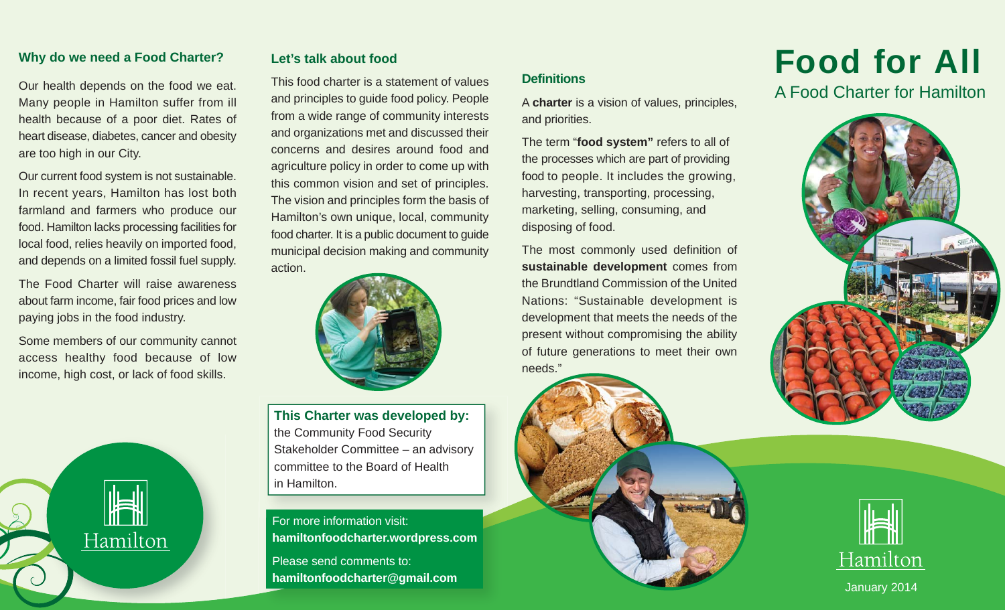#### **Why do we need a Food Charter?**

Our health depends on the food we eat. Many people in Hamilton suffer from ill health because of a poor diet. Rates of heart disease, diabetes, cancer and obesity are too high in our City.

Our current food system is not sustainable. In recent years, Hamilton has lost both farmland and farmers who produce our food. Hamilton lacks processing facilities for local food, relies heavily on imported food, and depends on a limited fossil fuel supply.

The Food Charter will raise awareness about farm income, fair food prices and low paying jobs in the food industry.

Some members of our community cannot access healthy food because of low income, high cost, or lack of food skills.

Hamilton

#### **Let's talk about food**

This food charter is a statement of values and principles to guide food policy. People from a wide range of community interests and organizations met and discussed their concerns and desires around food and agriculture policy in order to come up with this common vision and set of principles. The vision and principles form the basis of Hamilton's own unique, local, community food charter. It is a public document to guide municipal decision making and community action.



**This Charter was developed by:** the Community Food Security Stakeholder Committee – an advisory committee to the Board of Health in Hamilton.

For more information visit: **hamiltonfoodcharter.wordpress.com** Please send comments to: **hamiltonfoodcharter@gmail.com**

## **Definitions**

A **charter** is a vision of values, principles, and priorities.

The term "**food system"** refers to all of the processes which are part of providing food to people. It includes the growing, harvesting, transporting, processing, marketing, selling, consuming, and disposing of food.

The most commonly used definition of **sustainable development** comes from the Brundtland Commission of the United Nations: "Sustainable development is development that meets the needs of the present without compromising the ability of future generations to meet their own needs."



A Food Charter for Hamilton





January 2014